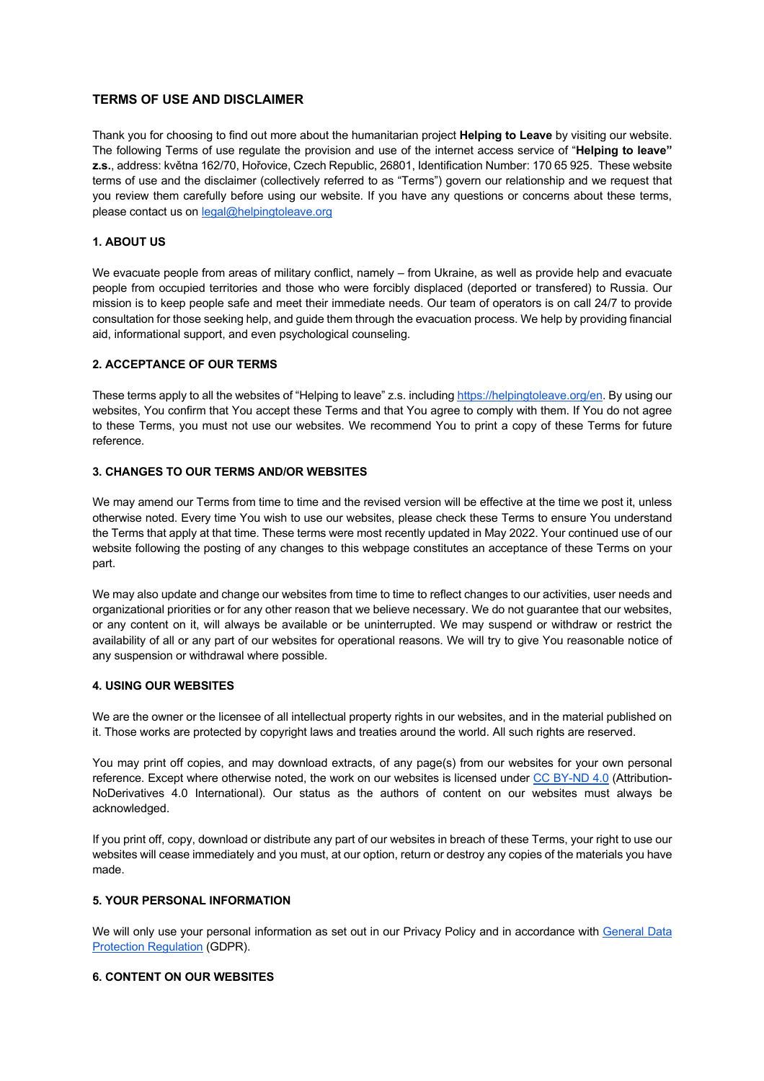# **TERMS OF USE AND DISCLAIMER**

Thank you for choosing to find out more about the humanitarian project **Helping to Leave** by visiting our website. The following Terms of use regulate the provision and use of the internet access service of "**Helping to leave" z.s.**, address: května 162/70, Hořovice, Czech Republic, 26801, Identification Number: 170 65 925. These website terms of use and the disclaimer (collectively referred to as "Terms") govern our relationship and we request that you review them carefully before using our website. If you have any questions or concerns about these terms, please contact us on legal@helpingtoleave.org

# **1. ABOUT US**

We evacuate people from areas of military conflict, namely – from Ukraine, as well as provide help and evacuate people from occupied territories and those who were forcibly displaced (deported or transfered) to Russia. Our mission is to keep people safe and meet their immediate needs. Our team of operators is on call 24/7 to provide consultation for those seeking help, and guide them through the evacuation process. We help by providing financial aid, informational support, and even psychological counseling.

# **2. ACCEPTANCE OF OUR TERMS**

These terms apply to all the websites of "Helping to leave" z.s. including https://helpingtoleave.org/en. By using our websites, You confirm that You accept these Terms and that You agree to comply with them. If You do not agree to these Terms, you must not use our websites. We recommend You to print a copy of these Terms for future reference.

# **3. CHANGES TO OUR TERMS AND/OR WEBSITES**

We may amend our Terms from time to time and the revised version will be effective at the time we post it, unless otherwise noted. Every time You wish to use our websites, please check these Terms to ensure You understand the Terms that apply at that time. These terms were most recently updated in May 2022. Your continued use of our website following the posting of any changes to this webpage constitutes an acceptance of these Terms on your part.

We may also update and change our websites from time to time to reflect changes to our activities, user needs and organizational priorities or for any other reason that we believe necessary. We do not guarantee that our websites, or any content on it, will always be available or be uninterrupted. We may suspend or withdraw or restrict the availability of all or any part of our websites for operational reasons. We will try to give You reasonable notice of any suspension or withdrawal where possible.

### **4. USING OUR WEBSITES**

We are the owner or the licensee of all intellectual property rights in our websites, and in the material published on it. Those works are protected by copyright laws and treaties around the world. All such rights are reserved.

You may print off copies, and may download extracts, of any page(s) from our websites for your own personal reference. Except where otherwise noted, the work on our websites is licensed under CC BY-ND 4.0 (Attribution-NoDerivatives 4.0 International). Our status as the authors of content on our websites must always be acknowledged.

If you print off, copy, download or distribute any part of our websites in breach of these Terms, your right to use our websites will cease immediately and you must, at our option, return or destroy any copies of the materials you have made.

#### **5. YOUR PERSONAL INFORMATION**

We will only use your personal information as set out in our Privacy Policy and in accordance with General Data Protection Regulation (GDPR).

# **6. CONTENT ON OUR WEBSITES**